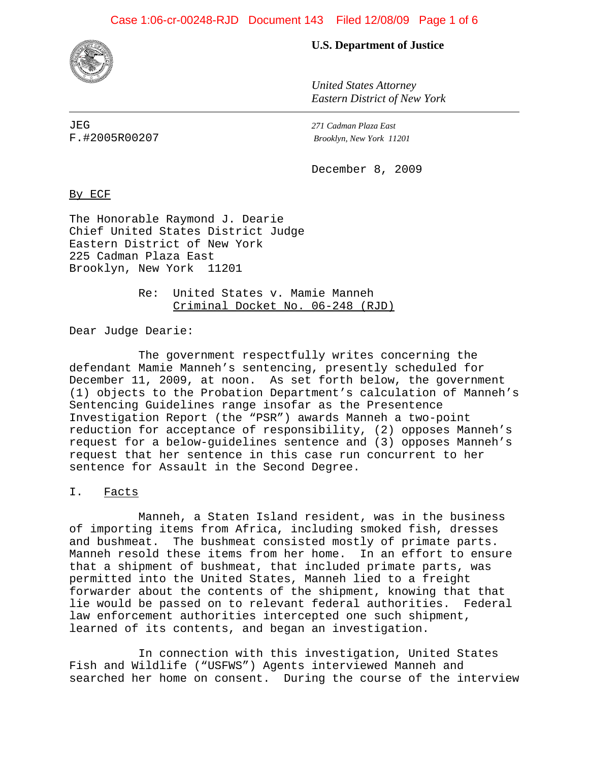

# **U.S. Department of Justice**

*United States Attorney Eastern District of New York*

JEG *271 Cadman Plaza East*

Brooklyn, New York 11201

December 8, 2009

By ECF

The Honorable Raymond J. Dearie Chief United States District Judge Eastern District of New York 225 Cadman Plaza East Brooklyn, New York 11201

> Re: United States v. Mamie Manneh Criminal Docket No. 06-248 (RJD)

Dear Judge Dearie:

The government respectfully writes concerning the defendant Mamie Manneh's sentencing, presently scheduled for December 11, 2009, at noon. As set forth below, the government (1) objects to the Probation Department's calculation of Manneh's Sentencing Guidelines range insofar as the Presentence Investigation Report (the "PSR") awards Manneh a two-point reduction for acceptance of responsibility, (2) opposes Manneh's request for a below-guidelines sentence and (3) opposes Manneh's request that her sentence in this case run concurrent to her sentence for Assault in the Second Degree.

### I. Facts

Manneh, a Staten Island resident, was in the business of importing items from Africa, including smoked fish, dresses and bushmeat. The bushmeat consisted mostly of primate parts. Manneh resold these items from her home. In an effort to ensure that a shipment of bushmeat, that included primate parts, was permitted into the United States, Manneh lied to a freight forwarder about the contents of the shipment, knowing that that lie would be passed on to relevant federal authorities. Federal law enforcement authorities intercepted one such shipment, learned of its contents, and began an investigation.

In connection with this investigation, United States Fish and Wildlife ("USFWS") Agents interviewed Manneh and searched her home on consent. During the course of the interview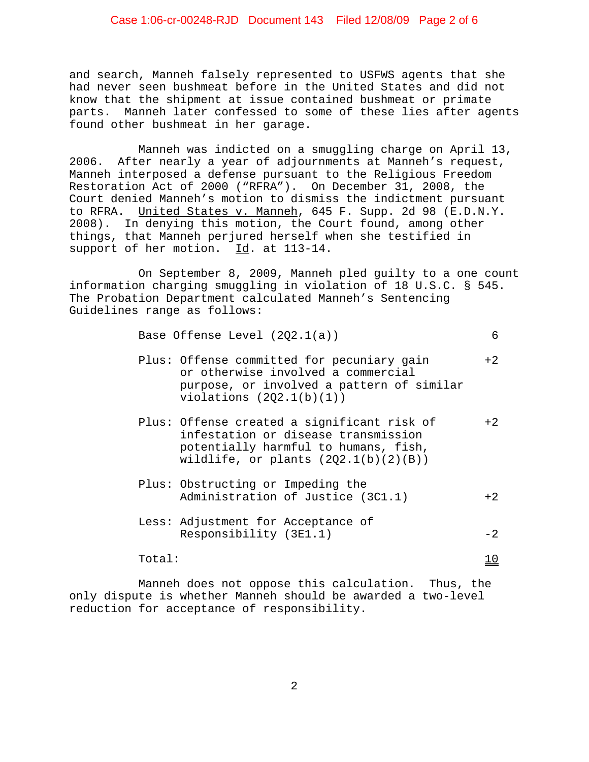#### Case 1:06-cr-00248-RJD Document 143 Filed 12/08/09 Page 2 of 6

and search, Manneh falsely represented to USFWS agents that she had never seen bushmeat before in the United States and did not know that the shipment at issue contained bushmeat or primate parts. Manneh later confessed to some of these lies after agents found other bushmeat in her garage.

Manneh was indicted on a smuggling charge on April 13, 2006. After nearly a year of adjournments at Manneh's request, Manneh interposed a defense pursuant to the Religious Freedom Restoration Act of 2000 ("RFRA"). On December 31, 2008, the Court denied Manneh's motion to dismiss the indictment pursuant to RFRA. United States v. Manneh, 645 F. Supp. 2d 98 (E.D.N.Y. 2008). In denying this motion, the Court found, among other things, that Manneh perjured herself when she testified in support of her motion. Id. at 113-14.

On September 8, 2009, Manneh pled guilty to a one count information charging smuggling in violation of 18 U.S.C. § 545. The Probation Department calculated Manneh's Sentencing Guidelines range as follows:

|        | Base Offense Level $(2Q2.1(a))$                                                                                                                                      | 6    |
|--------|----------------------------------------------------------------------------------------------------------------------------------------------------------------------|------|
|        | Plus: Offense committed for pecuniary gain<br>or otherwise involved a commercial<br>purpose, or involved a pattern of similar<br>violations (2Q2.1(b)(1))            | $+2$ |
|        | Plus: Offense created a significant risk of<br>infestation or disease transmission<br>potentially harmful to humans, fish,<br>wildlife, or plants $(2Q2.1(b)(2)(B))$ | $+2$ |
|        | Plus: Obstructing or Impeding the<br>Administration of Justice (3C1.1)                                                                                               | $+2$ |
|        | Less: Adjustment for Acceptance of<br>Responsibility (3E1.1)                                                                                                         | $-2$ |
| Total: |                                                                                                                                                                      |      |

Manneh does not oppose this calculation. Thus, the only dispute is whether Manneh should be awarded a two-level reduction for acceptance of responsibility.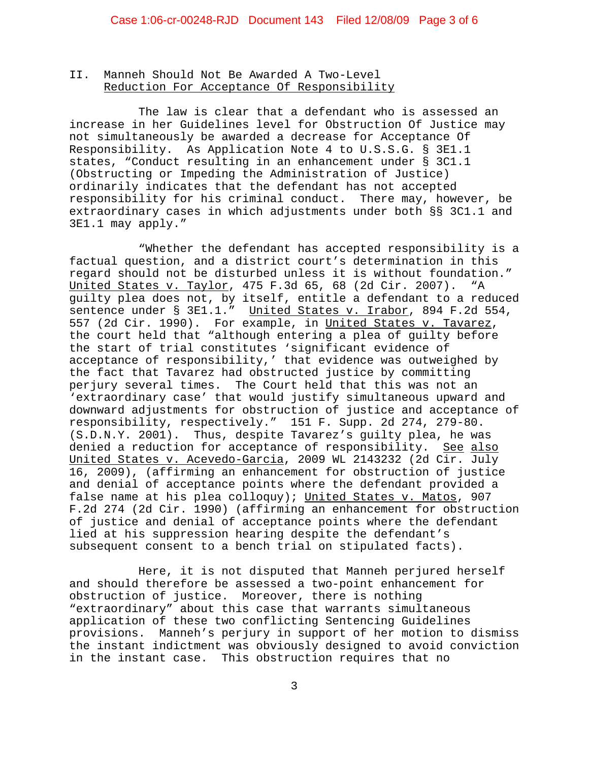#### II. Manneh Should Not Be Awarded A Two-Level Reduction For Acceptance Of Responsibility

The law is clear that a defendant who is assessed an increase in her Guidelines level for Obstruction Of Justice may not simultaneously be awarded a decrease for Acceptance Of Responsibility. As Application Note 4 to U.S.S.G. § 3E1.1 states, "Conduct resulting in an enhancement under § 3C1.1 (Obstructing or Impeding the Administration of Justice) ordinarily indicates that the defendant has not accepted responsibility for his criminal conduct. There may, however, be extraordinary cases in which adjustments under both §§ 3C1.1 and 3E1.1 may apply."

"Whether the defendant has accepted responsibility is a factual question, and a district court's determination in this regard should not be disturbed unless it is without foundation." United States v. Taylor, 475 F.3d 65, 68 (2d Cir. 2007). "A guilty plea does not, by itself, entitle a defendant to a reduced sentence under § 3E1.1." United States v. Irabor, 894 F.2d 554, 557 (2d Cir. 1990). For example, in United States v. Tavarez, the court held that "although entering a plea of guilty before the start of trial constitutes 'significant evidence of acceptance of responsibility,' that evidence was outweighed by the fact that Tavarez had obstructed justice by committing perjury several times. The Court held that this was not an 'extraordinary case' that would justify simultaneous upward and downward adjustments for obstruction of justice and acceptance of responsibility, respectively." 151 F. Supp. 2d 274, 279-80. (S.D.N.Y. 2001). Thus, despite Tavarez's guilty plea, he was denied a reduction for acceptance of responsibility. See also United States v. Acevedo-Garcia, 2009 WL 2143232 (2d Cir. July 16, 2009), (affirming an enhancement for obstruction of justice and denial of acceptance points where the defendant provided a false name at his plea colloquy); United States v. Matos, 907 F.2d 274 (2d Cir. 1990) (affirming an enhancement for obstruction of justice and denial of acceptance points where the defendant lied at his suppression hearing despite the defendant's subsequent consent to a bench trial on stipulated facts).

Here, it is not disputed that Manneh perjured herself and should therefore be assessed a two-point enhancement for obstruction of justice. Moreover, there is nothing "extraordinary" about this case that warrants simultaneous application of these two conflicting Sentencing Guidelines provisions. Manneh's perjury in support of her motion to dismiss the instant indictment was obviously designed to avoid conviction in the instant case. This obstruction requires that no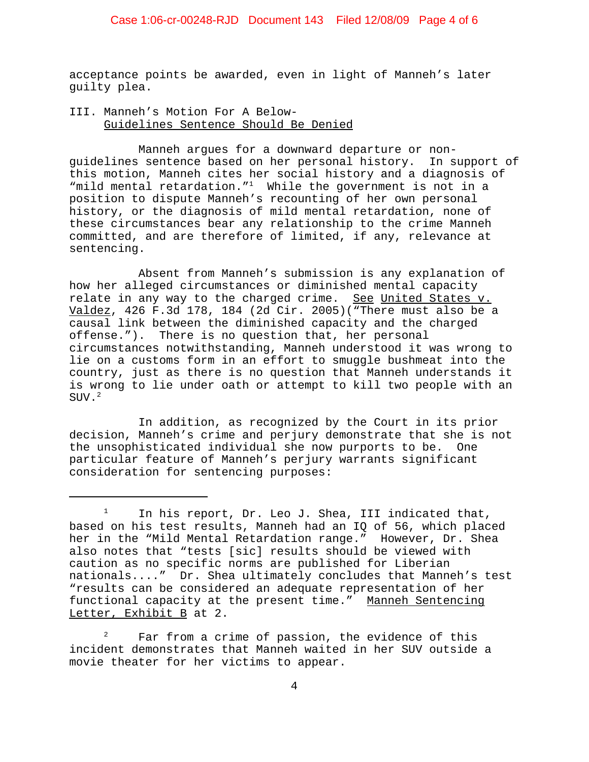acceptance points be awarded, even in light of Manneh's later guilty plea.

III. Manneh's Motion For A Below-Guidelines Sentence Should Be Denied

Manneh argues for a downward departure or nonguidelines sentence based on her personal history. In support of this motion, Manneh cites her social history and a diagnosis of "mild mental retardation."<sup>1</sup> While the government is not in a position to dispute Manneh's recounting of her own personal history, or the diagnosis of mild mental retardation, none of these circumstances bear any relationship to the crime Manneh committed, and are therefore of limited, if any, relevance at sentencing.

Absent from Manneh's submission is any explanation of how her alleged circumstances or diminished mental capacity relate in any way to the charged crime. See United States v. Valdez, 426 F.3d 178, 184 (2d Cir. 2005)("There must also be a causal link between the diminished capacity and the charged offense."). There is no question that, her personal circumstances notwithstanding, Manneh understood it was wrong to lie on a customs form in an effort to smuggle bushmeat into the country, just as there is no question that Manneh understands it is wrong to lie under oath or attempt to kill two people with an  $SUV.^2$ 

In addition, as recognized by the Court in its prior decision, Manneh's crime and perjury demonstrate that she is not the unsophisticated individual she now purports to be. One particular feature of Manneh's perjury warrants significant consideration for sentencing purposes:

 $2^2$  Far from a crime of passion, the evidence of this incident demonstrates that Manneh waited in her SUV outside a movie theater for her victims to appear.

 $1$  In his report, Dr. Leo J. Shea, III indicated that, based on his test results, Manneh had an IQ of 56, which placed her in the "Mild Mental Retardation range." However, Dr. Shea also notes that "tests [sic] results should be viewed with caution as no specific norms are published for Liberian nationals...." Dr. Shea ultimately concludes that Manneh's test "results can be considered an adequate representation of her functional capacity at the present time." Manneh Sentencing Letter, Exhibit B at 2.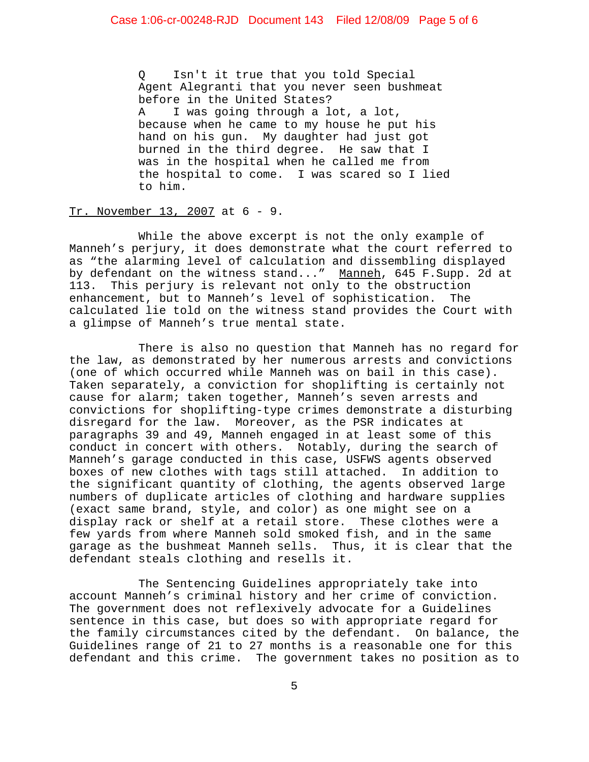Q Isn't it true that you told Special Agent Alegranti that you never seen bushmeat before in the United States? A I was going through a lot, a lot, because when he came to my house he put his hand on his gun. My daughter had just got burned in the third degree. He saw that I was in the hospital when he called me from the hospital to come. I was scared so I lied to him.

Tr. November 13, 2007 at 6 - 9.

While the above excerpt is not the only example of Manneh's perjury, it does demonstrate what the court referred to as "the alarming level of calculation and dissembling displayed by defendant on the witness stand..." Manneh, 645 F.Supp. 2d at 113. This perjury is relevant not only to the obstruction enhancement, but to Manneh's level of sophistication. The calculated lie told on the witness stand provides the Court with a glimpse of Manneh's true mental state.

There is also no question that Manneh has no regard for the law, as demonstrated by her numerous arrests and convictions (one of which occurred while Manneh was on bail in this case). Taken separately, a conviction for shoplifting is certainly not cause for alarm; taken together, Manneh's seven arrests and convictions for shoplifting-type crimes demonstrate a disturbing disregard for the law. Moreover, as the PSR indicates at paragraphs 39 and 49, Manneh engaged in at least some of this conduct in concert with others. Notably, during the search of Manneh's garage conducted in this case, USFWS agents observed boxes of new clothes with tags still attached. In addition to the significant quantity of clothing, the agents observed large numbers of duplicate articles of clothing and hardware supplies (exact same brand, style, and color) as one might see on a display rack or shelf at a retail store. These clothes were a few yards from where Manneh sold smoked fish, and in the same garage as the bushmeat Manneh sells. Thus, it is clear that the defendant steals clothing and resells it.

The Sentencing Guidelines appropriately take into account Manneh's criminal history and her crime of conviction. The government does not reflexively advocate for a Guidelines sentence in this case, but does so with appropriate regard for the family circumstances cited by the defendant. On balance, the Guidelines range of 21 to 27 months is a reasonable one for this defendant and this crime. The government takes no position as to